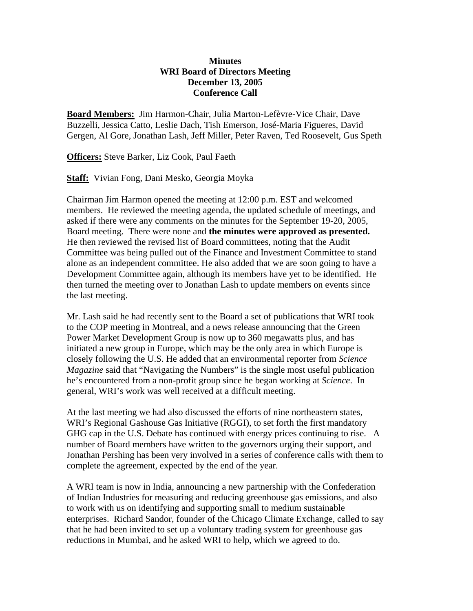# **Minutes WRI Board of Directors Meeting December 13, 2005 Conference Call**

**Board Members:** Jim Harmon-Chair, Julia Marton-Lefèvre-Vice Chair, Dave Buzzelli, Jessica Catto, Leslie Dach, Tish Emerson, José-Maria Figueres, David Gergen, Al Gore, Jonathan Lash, Jeff Miller, Peter Raven, Ted Roosevelt, Gus Speth

**Officers:** Steve Barker, Liz Cook, Paul Faeth

**Staff:** Vivian Fong, Dani Mesko, Georgia Moyka

Chairman Jim Harmon opened the meeting at 12:00 p.m. EST and welcomed members. He reviewed the meeting agenda, the updated schedule of meetings, and asked if there were any comments on the minutes for the September 19-20, 2005, Board meeting. There were none and **the minutes were approved as presented.** He then reviewed the revised list of Board committees, noting that the Audit Committee was being pulled out of the Finance and Investment Committee to stand alone as an independent committee. He also added that we are soon going to have a Development Committee again, although its members have yet to be identified. He then turned the meeting over to Jonathan Lash to update members on events since the last meeting.

Mr. Lash said he had recently sent to the Board a set of publications that WRI took to the COP meeting in Montreal, and a news release announcing that the Green Power Market Development Group is now up to 360 megawatts plus, and has initiated a new group in Europe, which may be the only area in which Europe is closely following the U.S. He added that an environmental reporter from *Science Magazine* said that "Navigating the Numbers" is the single most useful publication he's encountered from a non-profit group since he began working at *Science*. In general, WRI's work was well received at a difficult meeting.

At the last meeting we had also discussed the efforts of nine northeastern states, WRI's Regional Gashouse Gas Initiative (RGGI), to set forth the first mandatory GHG cap in the U.S. Debate has continued with energy prices continuing to rise. A number of Board members have written to the governors urging their support, and Jonathan Pershing has been very involved in a series of conference calls with them to complete the agreement, expected by the end of the year.

A WRI team is now in India, announcing a new partnership with the Confederation of Indian Industries for measuring and reducing greenhouse gas emissions, and also to work with us on identifying and supporting small to medium sustainable enterprises. Richard Sandor, founder of the Chicago Climate Exchange, called to say that he had been invited to set up a voluntary trading system for greenhouse gas reductions in Mumbai, and he asked WRI to help, which we agreed to do.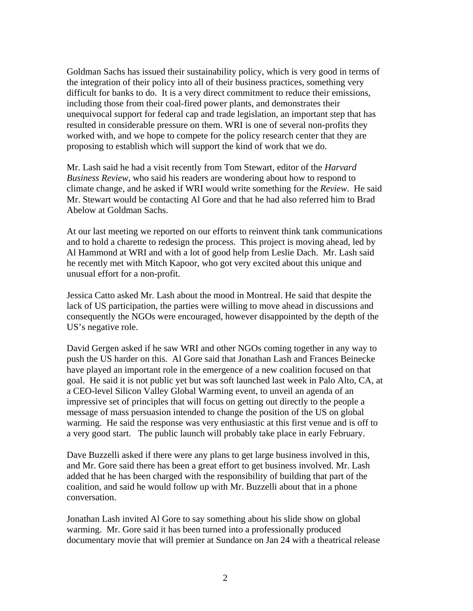Goldman Sachs has issued their sustainability policy, which is very good in terms of the integration of their policy into all of their business practices, something very difficult for banks to do. It is a very direct commitment to reduce their emissions, including those from their coal-fired power plants, and demonstrates their unequivocal support for federal cap and trade legislation, an important step that has resulted in considerable pressure on them. WRI is one of several non-profits they worked with, and we hope to compete for the policy research center that they are proposing to establish which will support the kind of work that we do.

Mr. Lash said he had a visit recently from Tom Stewart, editor of the *Harvard Business Review*, who said his readers are wondering about how to respond to climate change, and he asked if WRI would write something for the *Review*. He said Mr. Stewart would be contacting Al Gore and that he had also referred him to Brad Abelow at Goldman Sachs.

At our last meeting we reported on our efforts to reinvent think tank communications and to hold a charette to redesign the process. This project is moving ahead, led by Al Hammond at WRI and with a lot of good help from Leslie Dach. Mr. Lash said he recently met with Mitch Kapoor, who got very excited about this unique and unusual effort for a non-profit.

Jessica Catto asked Mr. Lash about the mood in Montreal. He said that despite the lack of US participation, the parties were willing to move ahead in discussions and consequently the NGOs were encouraged, however disappointed by the depth of the US's negative role.

David Gergen asked if he saw WRI and other NGOs coming together in any way to push the US harder on this. Al Gore said that Jonathan Lash and Frances Beinecke have played an important role in the emergence of a new coalition focused on that goal. He said it is not public yet but was soft launched last week in Palo Alto, CA, at a CEO-level Silicon Valley Global Warming event, to unveil an agenda of an impressive set of principles that will focus on getting out directly to the people a message of mass persuasion intended to change the position of the US on global warming. He said the response was very enthusiastic at this first venue and is off to a very good start. The public launch will probably take place in early February.

Dave Buzzelli asked if there were any plans to get large business involved in this, and Mr. Gore said there has been a great effort to get business involved. Mr. Lash added that he has been charged with the responsibility of building that part of the coalition, and said he would follow up with Mr. Buzzelli about that in a phone conversation.

Jonathan Lash invited Al Gore to say something about his slide show on global warming. Mr. Gore said it has been turned into a professionally produced documentary movie that will premier at Sundance on Jan 24 with a theatrical release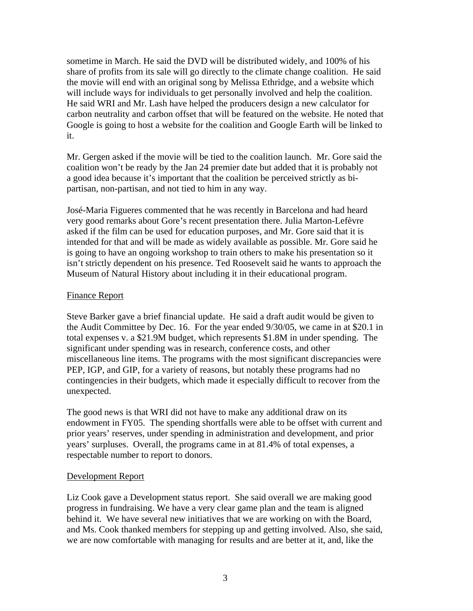sometime in March. He said the DVD will be distributed widely, and 100% of his share of profits from its sale will go directly to the climate change coalition. He said the movie will end with an original song by Melissa Ethridge, and a website which will include ways for individuals to get personally involved and help the coalition. He said WRI and Mr. Lash have helped the producers design a new calculator for carbon neutrality and carbon offset that will be featured on the website. He noted that Google is going to host a website for the coalition and Google Earth will be linked to it.

Mr. Gergen asked if the movie will be tied to the coalition launch. Mr. Gore said the coalition won't be ready by the Jan 24 premier date but added that it is probably not a good idea because it's important that the coalition be perceived strictly as bipartisan, non-partisan, and not tied to him in any way.

José-Maria Figueres commented that he was recently in Barcelona and had heard very good remarks about Gore's recent presentation there. Julia Marton-Lefèvre asked if the film can be used for education purposes, and Mr. Gore said that it is intended for that and will be made as widely available as possible. Mr. Gore said he is going to have an ongoing workshop to train others to make his presentation so it isn't strictly dependent on his presence. Ted Roosevelt said he wants to approach the Museum of Natural History about including it in their educational program.

#### Finance Report

Steve Barker gave a brief financial update. He said a draft audit would be given to the Audit Committee by Dec. 16. For the year ended 9/30/05, we came in at \$20.1 in total expenses v. a \$21.9M budget, which represents \$1.8M in under spending. The significant under spending was in research, conference costs, and other miscellaneous line items. The programs with the most significant discrepancies were PEP, IGP, and GIP, for a variety of reasons, but notably these programs had no contingencies in their budgets, which made it especially difficult to recover from the unexpected.

The good news is that WRI did not have to make any additional draw on its endowment in FY05. The spending shortfalls were able to be offset with current and prior years' reserves, under spending in administration and development, and prior years' surpluses. Overall, the programs came in at 81.4% of total expenses, a respectable number to report to donors.

## Development Report

Liz Cook gave a Development status report. She said overall we are making good progress in fundraising. We have a very clear game plan and the team is aligned behind it. We have several new initiatives that we are working on with the Board, and Ms. Cook thanked members for stepping up and getting involved. Also, she said, we are now comfortable with managing for results and are better at it, and, like the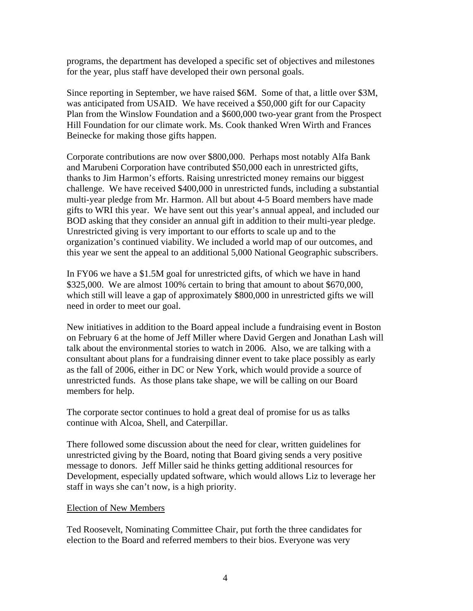programs, the department has developed a specific set of objectives and milestones for the year, plus staff have developed their own personal goals.

Since reporting in September, we have raised \$6M. Some of that, a little over \$3M, was anticipated from USAID. We have received a \$50,000 gift for our Capacity Plan from the Winslow Foundation and a \$600,000 two-year grant from the Prospect Hill Foundation for our climate work. Ms. Cook thanked Wren Wirth and Frances Beinecke for making those gifts happen.

Corporate contributions are now over \$800,000. Perhaps most notably Alfa Bank and Marubeni Corporation have contributed \$50,000 each in unrestricted gifts, thanks to Jim Harmon's efforts. Raising unrestricted money remains our biggest challenge. We have received \$400,000 in unrestricted funds, including a substantial multi-year pledge from Mr. Harmon. All but about 4-5 Board members have made gifts to WRI this year. We have sent out this year's annual appeal, and included our BOD asking that they consider an annual gift in addition to their multi-year pledge. Unrestricted giving is very important to our efforts to scale up and to the organization's continued viability. We included a world map of our outcomes, and this year we sent the appeal to an additional 5,000 National Geographic subscribers.

In FY06 we have a \$1.5M goal for unrestricted gifts, of which we have in hand \$325,000. We are almost 100% certain to bring that amount to about \$670,000, which still will leave a gap of approximately \$800,000 in unrestricted gifts we will need in order to meet our goal.

New initiatives in addition to the Board appeal include a fundraising event in Boston on February 6 at the home of Jeff Miller where David Gergen and Jonathan Lash will talk about the environmental stories to watch in 2006. Also, we are talking with a consultant about plans for a fundraising dinner event to take place possibly as early as the fall of 2006, either in DC or New York, which would provide a source of unrestricted funds. As those plans take shape, we will be calling on our Board members for help.

The corporate sector continues to hold a great deal of promise for us as talks continue with Alcoa, Shell, and Caterpillar.

There followed some discussion about the need for clear, written guidelines for unrestricted giving by the Board, noting that Board giving sends a very positive message to donors. Jeff Miller said he thinks getting additional resources for Development, especially updated software, which would allows Liz to leverage her staff in ways she can't now, is a high priority.

## Election of New Members

Ted Roosevelt, Nominating Committee Chair, put forth the three candidates for election to the Board and referred members to their bios. Everyone was very